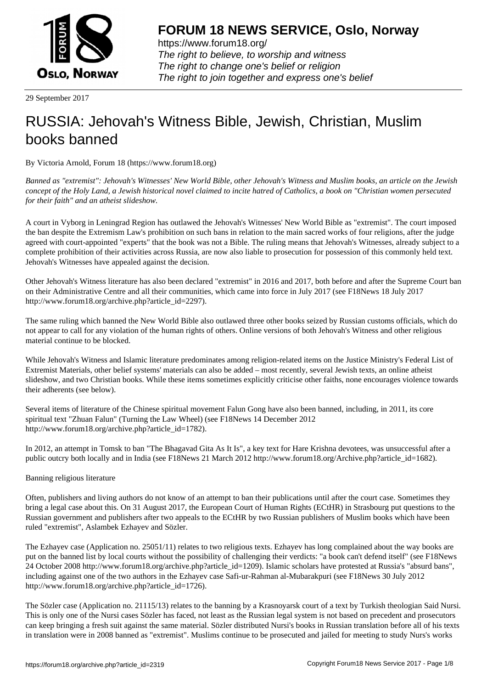

https://www.forum18.org/ The right to believe, to worship and witness The right to change one's belief or religion [The right to join together a](https://www.forum18.org/)nd express one's belief

29 September 2017

# [RUSSIA: Jehov](https://www.forum18.org)ah's Witness Bible, Jewish, Christian, Muslim books banned

By Victoria Arnold, Forum 18 (https://www.forum18.org)

*Banned as "extremist": Jehovah's Witnesses' New World Bible, other Jehovah's Witness and Muslim books, an article on the Jewish concept of the Holy Land, a Jewish historical novel claimed to incite hatred of Catholics, a book on "Christian women persecuted for their faith" and an atheist slideshow.*

A court in Vyborg in Leningrad Region has outlawed the Jehovah's Witnesses' New World Bible as "extremist". The court imposed the ban despite the Extremism Law's prohibition on such bans in relation to the main sacred works of four religions, after the judge agreed with court-appointed "experts" that the book was not a Bible. The ruling means that Jehovah's Witnesses, already subject to a complete prohibition of their activities across Russia, are now also liable to prosecution for possession of this commonly held text. Jehovah's Witnesses have appealed against the decision.

Other Jehovah's Witness literature has also been declared "extremist" in 2016 and 2017, both before and after the Supreme Court ban on their Administrative Centre and all their communities, which came into force in July 2017 (see F18News 18 July 2017 http://www.forum18.org/archive.php?article\_id=2297).

The same ruling which banned the New World Bible also outlawed three other books seized by Russian customs officials, which do not appear to call for any violation of the human rights of others. Online versions of both Jehovah's Witness and other religious material continue to be blocked.

While Jehovah's Witness and Islamic literature predominates among religion-related items on the Justice Ministry's Federal List of Extremist Materials, other belief systems' materials can also be added – most recently, several Jewish texts, an online atheist slideshow, and two Christian books. While these items sometimes explicitly criticise other faiths, none encourages violence towards their adherents (see below).

Several items of literature of the Chinese spiritual movement Falun Gong have also been banned, including, in 2011, its core spiritual text "Zhuan Falun" (Turning the Law Wheel) (see F18News 14 December 2012 http://www.forum18.org/archive.php?article\_id=1782).

In 2012, an attempt in Tomsk to ban "The Bhagavad Gita As It Is", a key text for Hare Krishna devotees, was unsuccessful after a public outcry both locally and in India (see F18News 21 March 2012 http://www.forum18.org/Archive.php?article\_id=1682).

# Banning religious literature

Often, publishers and living authors do not know of an attempt to ban their publications until after the court case. Sometimes they bring a legal case about this. On 31 August 2017, the European Court of Human Rights (ECtHR) in Strasbourg put questions to the Russian government and publishers after two appeals to the ECtHR by two Russian publishers of Muslim books which have been ruled "extremist", Aslambek Ezhayev and Sözler.

The Ezhayev case (Application no. 25051/11) relates to two religious texts. Ezhayev has long complained about the way books are put on the banned list by local courts without the possibility of challenging their verdicts: "a book can't defend itself" (see F18News 24 October 2008 http://www.forum18.org/archive.php?article\_id=1209). Islamic scholars have protested at Russia's "absurd bans", including against one of the two authors in the Ezhayev case Safi-ur-Rahman al-Mubarakpuri (see F18News 30 July 2012 http://www.forum18.org/archive.php?article\_id=1726).

The Sözler case (Application no. 21115/13) relates to the banning by a Krasnoyarsk court of a text by Turkish theologian Said Nursi. This is only one of the Nursi cases Sözler has faced, not least as the Russian legal system is not based on precedent and prosecutors can keep bringing a fresh suit against the same material. Sözler distributed Nursi's books in Russian translation before all of his texts in translation were in 2008 banned as "extremist". Muslims continue to be prosecuted and jailed for meeting to study Nurs's works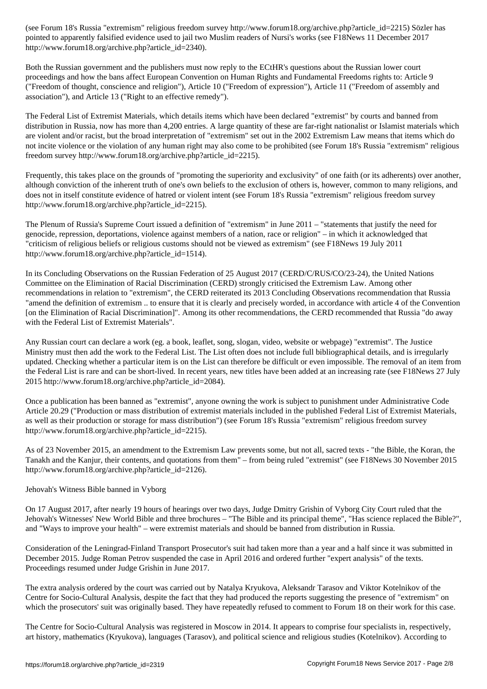pointed to apparently falsified evidence used to jail two Muslim readers of Nursi's works (see F18News 11 December 2017 http://www.forum18.org/archive.php?article\_id=2340).

Both the Russian government and the publishers must now reply to the ECtHR's questions about the Russian lower court proceedings and how the bans affect European Convention on Human Rights and Fundamental Freedoms rights to: Article 9 ("Freedom of thought, conscience and religion"), Article 10 ("Freedom of expression"), Article 11 ("Freedom of assembly and association"), and Article 13 ("Right to an effective remedy").

The Federal List of Extremist Materials, which details items which have been declared "extremist" by courts and banned from distribution in Russia, now has more than 4,200 entries. A large quantity of these are far-right nationalist or Islamist materials which are violent and/or racist, but the broad interpretation of "extremism" set out in the 2002 Extremism Law means that items which do not incite violence or the violation of any human right may also come to be prohibited (see Forum 18's Russia "extremism" religious freedom survey http://www.forum18.org/archive.php?article\_id=2215).

Frequently, this takes place on the grounds of "promoting the superiority and exclusivity" of one faith (or its adherents) over another, although conviction of the inherent truth of one's own beliefs to the exclusion of others is, however, common to many religions, and does not in itself constitute evidence of hatred or violent intent (see Forum 18's Russia "extremism" religious freedom survey http://www.forum18.org/archive.php?article\_id=2215).

The Plenum of Russia's Supreme Court issued a definition of "extremism" in June 2011 – "statements that justify the need for genocide, repression, deportations, violence against members of a nation, race or religion" – in which it acknowledged that "criticism of religious beliefs or religious customs should not be viewed as extremism" (see F18News 19 July 2011 http://www.forum18.org/archive.php?article\_id=1514).

In its Concluding Observations on the Russian Federation of 25 August 2017 (CERD/C/RUS/CO/23-24), the United Nations Committee on the Elimination of Racial Discrimination (CERD) strongly criticised the Extremism Law. Among other recommendations in relation to "extremism", the CERD reiterated its 2013 Concluding Observations recommendation that Russia "amend the definition of extremism .. to ensure that it is clearly and precisely worded, in accordance with article 4 of the Convention [on the Elimination of Racial Discrimination]". Among its other recommendations, the CERD recommended that Russia "do away with the Federal List of Extremist Materials".

Any Russian court can declare a work (eg. a book, leaflet, song, slogan, video, website or webpage) "extremist". The Justice Ministry must then add the work to the Federal List. The List often does not include full bibliographical details, and is irregularly updated. Checking whether a particular item is on the List can therefore be difficult or even impossible. The removal of an item from the Federal List is rare and can be short-lived. In recent years, new titles have been added at an increasing rate (see F18News 27 July 2015 http://www.forum18.org/archive.php?article\_id=2084).

Once a publication has been banned as "extremist", anyone owning the work is subject to punishment under Administrative Code Article 20.29 ("Production or mass distribution of extremist materials included in the published Federal List of Extremist Materials, as well as their production or storage for mass distribution") (see Forum 18's Russia "extremism" religious freedom survey http://www.forum18.org/archive.php?article\_id=2215).

As of 23 November 2015, an amendment to the Extremism Law prevents some, but not all, sacred texts - "the Bible, the Koran, the Tanakh and the Kanjur, their contents, and quotations from them" – from being ruled "extremist" (see F18News 30 November 2015 http://www.forum18.org/archive.php?article\_id=2126).

Jehovah's Witness Bible banned in Vyborg

On 17 August 2017, after nearly 19 hours of hearings over two days, Judge Dmitry Grishin of Vyborg City Court ruled that the Jehovah's Witnesses' New World Bible and three brochures – "The Bible and its principal theme", "Has science replaced the Bible?", and "Ways to improve your health" – were extremist materials and should be banned from distribution in Russia.

Consideration of the Leningrad-Finland Transport Prosecutor's suit had taken more than a year and a half since it was submitted in December 2015. Judge Roman Petrov suspended the case in April 2016 and ordered further "expert analysis" of the texts. Proceedings resumed under Judge Grishin in June 2017.

The extra analysis ordered by the court was carried out by Natalya Kryukova, Aleksandr Tarasov and Viktor Kotelnikov of the Centre for Socio-Cultural Analysis, despite the fact that they had produced the reports suggesting the presence of "extremism" on which the prosecutors' suit was originally based. They have repeatedly refused to comment to Forum 18 on their work for this case.

The Centre for Socio-Cultural Analysis was registered in Moscow in 2014. It appears to comprise four specialists in, respectively, art history, mathematics (Kryukova), languages (Tarasov), and political science and religious studies (Kotelnikov). According to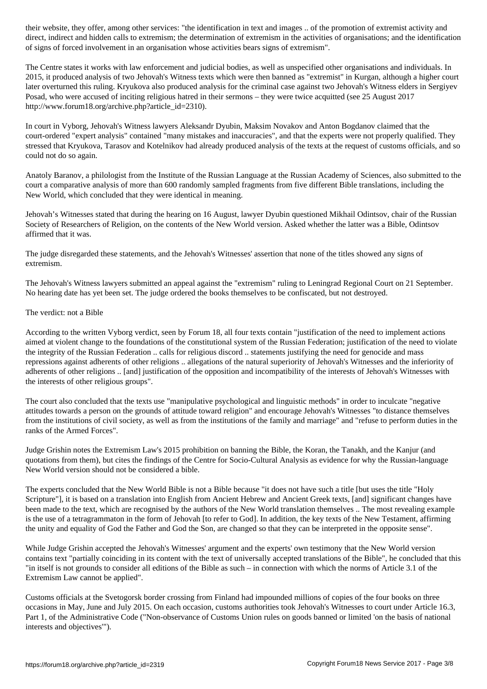direct and hidden calls to extremism; the determination of extremism in the activities of organisation of  $\alpha$ of signs of forced involvement in an organisation whose activities bears signs of extremism".

The Centre states it works with law enforcement and judicial bodies, as well as unspecified other organisations and individuals. In 2015, it produced analysis of two Jehovah's Witness texts which were then banned as "extremist" in Kurgan, although a higher court later overturned this ruling. Kryukova also produced analysis for the criminal case against two Jehovah's Witness elders in Sergiyev Posad, who were accused of inciting religious hatred in their sermons – they were twice acquitted (see 25 August 2017 http://www.forum18.org/archive.php?article\_id=2310).

In court in Vyborg, Jehovah's Witness lawyers Aleksandr Dyubin, Maksim Novakov and Anton Bogdanov claimed that the court-ordered "expert analysis" contained "many mistakes and inaccuracies", and that the experts were not properly qualified. They stressed that Kryukova, Tarasov and Kotelnikov had already produced analysis of the texts at the request of customs officials, and so could not do so again.

Anatoly Baranov, a philologist from the Institute of the Russian Language at the Russian Academy of Sciences, also submitted to the court a comparative analysis of more than 600 randomly sampled fragments from five different Bible translations, including the New World, which concluded that they were identical in meaning.

Jehovah's Witnesses stated that during the hearing on 16 August, lawyer Dyubin questioned Mikhail Odintsov, chair of the Russian Society of Researchers of Religion, on the contents of the New World version. Asked whether the latter was a Bible, Odintsov affirmed that it was.

The judge disregarded these statements, and the Jehovah's Witnesses' assertion that none of the titles showed any signs of extremism.

The Jehovah's Witness lawyers submitted an appeal against the "extremism" ruling to Leningrad Regional Court on 21 September. No hearing date has yet been set. The judge ordered the books themselves to be confiscated, but not destroyed.

# The verdict: not a Bible

According to the written Vyborg verdict, seen by Forum 18, all four texts contain "justification of the need to implement actions aimed at violent change to the foundations of the constitutional system of the Russian Federation; justification of the need to violate the integrity of the Russian Federation .. calls for religious discord .. statements justifying the need for genocide and mass repressions against adherents of other religions .. allegations of the natural superiority of Jehovah's Witnesses and the inferiority of adherents of other religions .. [and] justification of the opposition and incompatibility of the interests of Jehovah's Witnesses with the interests of other religious groups".

The court also concluded that the texts use "manipulative psychological and linguistic methods" in order to inculcate "negative attitudes towards a person on the grounds of attitude toward religion" and encourage Jehovah's Witnesses "to distance themselves from the institutions of civil society, as well as from the institutions of the family and marriage" and "refuse to perform duties in the ranks of the Armed Forces".

Judge Grishin notes the Extremism Law's 2015 prohibition on banning the Bible, the Koran, the Tanakh, and the Kanjur (and quotations from them), but cites the findings of the Centre for Socio-Cultural Analysis as evidence for why the Russian-language New World version should not be considered a bible.

The experts concluded that the New World Bible is not a Bible because "it does not have such a title [but uses the title "Holy Scripture"], it is based on a translation into English from Ancient Hebrew and Ancient Greek texts, [and] significant changes have been made to the text, which are recognised by the authors of the New World translation themselves .. The most revealing example is the use of a tetragrammaton in the form of Jehovah [to refer to God]. In addition, the key texts of the New Testament, affirming the unity and equality of God the Father and God the Son, are changed so that they can be interpreted in the opposite sense".

While Judge Grishin accepted the Jehovah's Witnesses' argument and the experts' own testimony that the New World version contains text "partially coinciding in its content with the text of universally accepted translations of the Bible", he concluded that this "in itself is not grounds to consider all editions of the Bible as such – in connection with which the norms of Article 3.1 of the Extremism Law cannot be applied".

Customs officials at the Svetogorsk border crossing from Finland had impounded millions of copies of the four books on three occasions in May, June and July 2015. On each occasion, customs authorities took Jehovah's Witnesses to court under Article 16.3, Part 1, of the Administrative Code ("Non-observance of Customs Union rules on goods banned or limited 'on the basis of national interests and objectives'").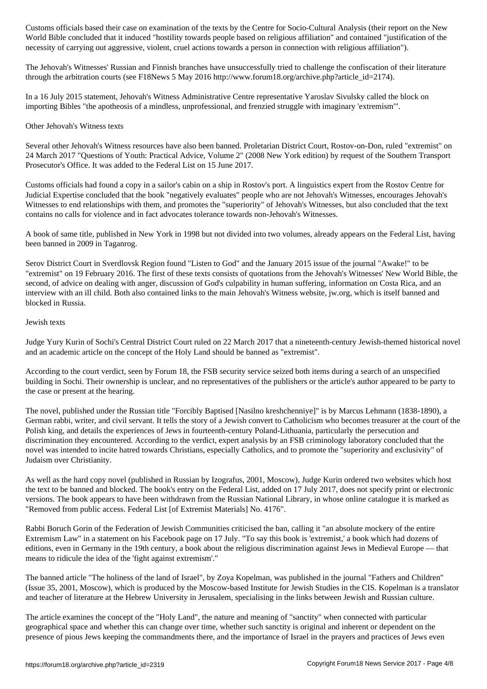World Bible concluded that it induced "hostility towards people based on religious affiliation" and contained "justification of the necessity of carrying out aggressive, violent, cruel actions towards a person in connection with religious affiliation").

The Jehovah's Witnesses' Russian and Finnish branches have unsuccessfully tried to challenge the confiscation of their literature through the arbitration courts (see F18News 5 May 2016 http://www.forum18.org/archive.php?article\_id=2174).

In a 16 July 2015 statement, Jehovah's Witness Administrative Centre representative Yaroslav Sivulsky called the block on importing Bibles "the apotheosis of a mindless, unprofessional, and frenzied struggle with imaginary 'extremism'".

## Other Jehovah's Witness texts

Several other Jehovah's Witness resources have also been banned. Proletarian District Court, Rostov-on-Don, ruled "extremist" on 24 March 2017 "Questions of Youth: Practical Advice, Volume 2" (2008 New York edition) by request of the Southern Transport Prosecutor's Office. It was added to the Federal List on 15 June 2017.

Customs officials had found a copy in a sailor's cabin on a ship in Rostov's port. A linguistics expert from the Rostov Centre for Judicial Expertise concluded that the book "negatively evaluates" people who are not Jehovah's Witnesses, encourages Jehovah's Witnesses to end relationships with them, and promotes the "superiority" of Jehovah's Witnesses, but also concluded that the text contains no calls for violence and in fact advocates tolerance towards non-Jehovah's Witnesses.

A book of same title, published in New York in 1998 but not divided into two volumes, already appears on the Federal List, having been banned in 2009 in Taganrog.

Serov District Court in Sverdlovsk Region found "Listen to God" and the January 2015 issue of the journal "Awake!" to be "extremist" on 19 February 2016. The first of these texts consists of quotations from the Jehovah's Witnesses' New World Bible, the second, of advice on dealing with anger, discussion of God's culpability in human suffering, information on Costa Rica, and an interview with an ill child. Both also contained links to the main Jehovah's Witness website, jw.org, which is itself banned and blocked in Russia.

#### Jewish texts

Judge Yury Kurin of Sochi's Central District Court ruled on 22 March 2017 that a nineteenth-century Jewish-themed historical novel and an academic article on the concept of the Holy Land should be banned as "extremist".

According to the court verdict, seen by Forum 18, the FSB security service seized both items during a search of an unspecified building in Sochi. Their ownership is unclear, and no representatives of the publishers or the article's author appeared to be party to the case or present at the hearing.

The novel, published under the Russian title "Forcibly Baptised [Nasilno kreshchenniye]" is by Marcus Lehmann (1838-1890), a German rabbi, writer, and civil servant. It tells the story of a Jewish convert to Catholicism who becomes treasurer at the court of the Polish king, and details the experiences of Jews in fourteenth-century Poland-Lithuania, particularly the persecution and discrimination they encountered. According to the verdict, expert analysis by an FSB criminology laboratory concluded that the novel was intended to incite hatred towards Christians, especially Catholics, and to promote the "superiority and exclusivity" of Judaism over Christianity.

As well as the hard copy novel (published in Russian by Izografus, 2001, Moscow), Judge Kurin ordered two websites which host the text to be banned and blocked. The book's entry on the Federal List, added on 17 July 2017, does not specify print or electronic versions. The book appears to have been withdrawn from the Russian National Library, in whose online catalogue it is marked as "Removed from public access. Federal List [of Extremist Materials] No. 4176".

Rabbi Boruch Gorin of the Federation of Jewish Communities criticised the ban, calling it "an absolute mockery of the entire Extremism Law" in a statement on his Facebook page on 17 July. "To say this book is 'extremist,' a book which had dozens of editions, even in Germany in the 19th century, a book about the religious discrimination against Jews in Medieval Europe — that means to ridicule the idea of the 'fight against extremism'."

The banned article "The holiness of the land of Israel", by Zoya Kopelman, was published in the journal "Fathers and Children" (Issue 35, 2001, Moscow), which is produced by the Moscow-based Institute for Jewish Studies in the CIS. Kopelman is a translator and teacher of literature at the Hebrew University in Jerusalem, specialising in the links between Jewish and Russian culture.

The article examines the concept of the "Holy Land", the nature and meaning of "sanctity" when connected with particular geographical space and whether this can change over time, whether such sanctity is original and inherent or dependent on the presence of pious Jews keeping the commandments there, and the importance of Israel in the prayers and practices of Jews even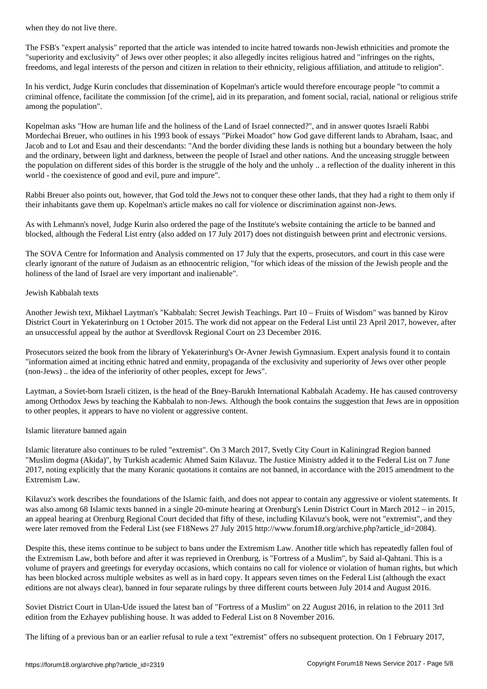The FSB's "expert analysis" reported that the article was intended to incite hatred towards non-Jewish ethnicities and promote the "superiority and exclusivity" of Jews over other peoples; it also allegedly incites religious hatred and "infringes on the rights, freedoms, and legal interests of the person and citizen in relation to their ethnicity, religious affiliation, and attitude to religion".

In his verdict, Judge Kurin concludes that dissemination of Kopelman's article would therefore encourage people "to commit a criminal offence, facilitate the commission [of the crime], aid in its preparation, and foment social, racial, national or religious strife among the population".

Kopelman asks "How are human life and the holiness of the Land of Israel connected?", and in answer quotes Israeli Rabbi Mordechai Breuer, who outlines in his 1993 book of essays "Pirkei Moadot" how God gave different lands to Abraham, Isaac, and Jacob and to Lot and Esau and their descendants: "And the border dividing these lands is nothing but a boundary between the holy and the ordinary, between light and darkness, between the people of Israel and other nations. And the unceasing struggle between the population on different sides of this border is the struggle of the holy and the unholy .. a reflection of the duality inherent in this world - the coexistence of good and evil, pure and impure".

Rabbi Breuer also points out, however, that God told the Jews not to conquer these other lands, that they had a right to them only if their inhabitants gave them up. Kopelman's article makes no call for violence or discrimination against non-Jews.

As with Lehmann's novel, Judge Kurin also ordered the page of the Institute's website containing the article to be banned and blocked, although the Federal List entry (also added on 17 July 2017) does not distinguish between print and electronic versions.

The SOVA Centre for Information and Analysis commented on 17 July that the experts, prosecutors, and court in this case were clearly ignorant of the nature of Judaism as an ethnocentric religion, "for which ideas of the mission of the Jewish people and the holiness of the land of Israel are very important and inalienable".

# Jewish Kabbalah texts

Another Jewish text, Mikhael Laytman's "Kabbalah: Secret Jewish Teachings. Part 10 – Fruits of Wisdom" was banned by Kirov District Court in Yekaterinburg on 1 October 2015. The work did not appear on the Federal List until 23 April 2017, however, after an unsuccessful appeal by the author at Sverdlovsk Regional Court on 23 December 2016.

Prosecutors seized the book from the library of Yekaterinburg's Or-Avner Jewish Gymnasium. Expert analysis found it to contain "information aimed at inciting ethnic hatred and enmity, propaganda of the exclusivity and superiority of Jews over other people (non-Jews) .. the idea of the inferiority of other peoples, except for Jews".

Laytman, a Soviet-born Israeli citizen, is the head of the Bney-Barukh International Kabbalah Academy. He has caused controversy among Orthodox Jews by teaching the Kabbalah to non-Jews. Although the book contains the suggestion that Jews are in opposition to other peoples, it appears to have no violent or aggressive content.

# Islamic literature banned again

Islamic literature also continues to be ruled "extremist". On 3 March 2017, Svetly City Court in Kaliningrad Region banned "Muslim dogma (Akida)", by Turkish academic Ahmed Saim Kilavuz. The Justice Ministry added it to the Federal List on 7 June 2017, noting explicitly that the many Koranic quotations it contains are not banned, in accordance with the 2015 amendment to the Extremism Law.

Kilavuz's work describes the foundations of the Islamic faith, and does not appear to contain any aggressive or violent statements. It was also among 68 Islamic texts banned in a single 20-minute hearing at Orenburg's Lenin District Court in March 2012 – in 2015, an appeal hearing at Orenburg Regional Court decided that fifty of these, including Kilavuz's book, were not "extremist", and they were later removed from the Federal List (see F18News 27 July 2015 http://www.forum18.org/archive.php?article\_id=2084).

Despite this, these items continue to be subject to bans under the Extremism Law. Another title which has repeatedly fallen foul of the Extremism Law, both before and after it was reprieved in Orenburg, is "Fortress of a Muslim", by Said al-Qahtani. This is a volume of prayers and greetings for everyday occasions, which contains no call for violence or violation of human rights, but which has been blocked across multiple websites as well as in hard copy. It appears seven times on the Federal List (although the exact editions are not always clear), banned in four separate rulings by three different courts between July 2014 and August 2016.

Soviet District Court in Ulan-Ude issued the latest ban of "Fortress of a Muslim" on 22 August 2016, in relation to the 2011 3rd edition from the Ezhayev publishing house. It was added to Federal List on 8 November 2016.

The lifting of a previous ban or an earlier refusal to rule a text "extremist" offers no subsequent protection. On 1 February 2017,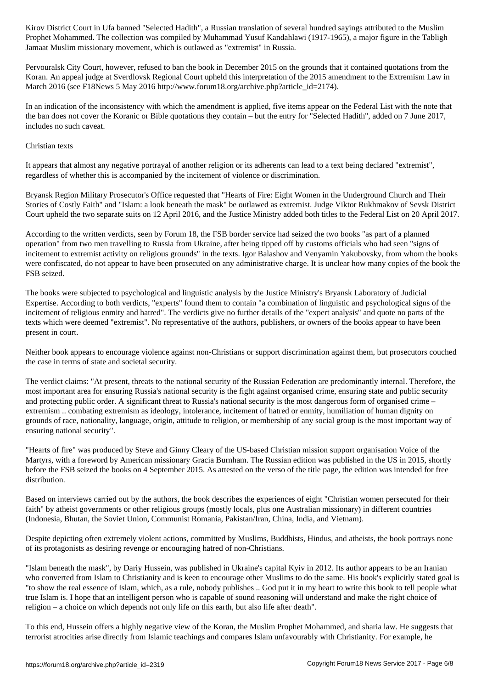Prophet Mohammed. The collection was compiled by Muhammad Yusuf Kandahlawi (1917-1965), a major figure in the Tabligh Jamaat Muslim missionary movement, which is outlawed as "extremist" in Russia.

Pervouralsk City Court, however, refused to ban the book in December 2015 on the grounds that it contained quotations from the Koran. An appeal judge at Sverdlovsk Regional Court upheld this interpretation of the 2015 amendment to the Extremism Law in March 2016 (see F18News 5 May 2016 http://www.forum18.org/archive.php?article\_id=2174).

In an indication of the inconsistency with which the amendment is applied, five items appear on the Federal List with the note that the ban does not cover the Koranic or Bible quotations they contain – but the entry for "Selected Hadith", added on 7 June 2017, includes no such caveat.

## Christian texts

It appears that almost any negative portrayal of another religion or its adherents can lead to a text being declared "extremist", regardless of whether this is accompanied by the incitement of violence or discrimination.

Bryansk Region Military Prosecutor's Office requested that "Hearts of Fire: Eight Women in the Underground Church and Their Stories of Costly Faith" and "Islam: a look beneath the mask" be outlawed as extremist. Judge Viktor Rukhmakov of Sevsk District Court upheld the two separate suits on 12 April 2016, and the Justice Ministry added both titles to the Federal List on 20 April 2017.

According to the written verdicts, seen by Forum 18, the FSB border service had seized the two books "as part of a planned operation" from two men travelling to Russia from Ukraine, after being tipped off by customs officials who had seen "signs of incitement to extremist activity on religious grounds" in the texts. Igor Balashov and Venyamin Yakubovsky, from whom the books were confiscated, do not appear to have been prosecuted on any administrative charge. It is unclear how many copies of the book the FSB seized.

The books were subjected to psychological and linguistic analysis by the Justice Ministry's Bryansk Laboratory of Judicial Expertise. According to both verdicts, "experts" found them to contain "a combination of linguistic and psychological signs of the incitement of religious enmity and hatred". The verdicts give no further details of the "expert analysis" and quote no parts of the texts which were deemed "extremist". No representative of the authors, publishers, or owners of the books appear to have been present in court.

Neither book appears to encourage violence against non-Christians or support discrimination against them, but prosecutors couched the case in terms of state and societal security.

The verdict claims: "At present, threats to the national security of the Russian Federation are predominantly internal. Therefore, the most important area for ensuring Russia's national security is the fight against organised crime, ensuring state and public security and protecting public order. A significant threat to Russia's national security is the most dangerous form of organised crime – extremism .. combating extremism as ideology, intolerance, incitement of hatred or enmity, humiliation of human dignity on grounds of race, nationality, language, origin, attitude to religion, or membership of any social group is the most important way of ensuring national security".

"Hearts of fire" was produced by Steve and Ginny Cleary of the US-based Christian mission support organisation Voice of the Martyrs, with a foreword by American missionary Gracia Burnham. The Russian edition was published in the US in 2015, shortly before the FSB seized the books on 4 September 2015. As attested on the verso of the title page, the edition was intended for free distribution.

Based on interviews carried out by the authors, the book describes the experiences of eight "Christian women persecuted for their faith" by atheist governments or other religious groups (mostly locals, plus one Australian missionary) in different countries (Indonesia, Bhutan, the Soviet Union, Communist Romania, Pakistan/Iran, China, India, and Vietnam).

Despite depicting often extremely violent actions, committed by Muslims, Buddhists, Hindus, and atheists, the book portrays none of its protagonists as desiring revenge or encouraging hatred of non-Christians.

"Islam beneath the mask", by Dariy Hussein, was published in Ukraine's capital Kyiv in 2012. Its author appears to be an Iranian who converted from Islam to Christianity and is keen to encourage other Muslims to do the same. His book's explicitly stated goal is "to show the real essence of Islam, which, as a rule, nobody publishes .. God put it in my heart to write this book to tell people what true Islam is. I hope that an intelligent person who is capable of sound reasoning will understand and make the right choice of religion – a choice on which depends not only life on this earth, but also life after death".

To this end, Hussein offers a highly negative view of the Koran, the Muslim Prophet Mohammed, and sharia law. He suggests that terrorist atrocities arise directly from Islamic teachings and compares Islam unfavourably with Christianity. For example, he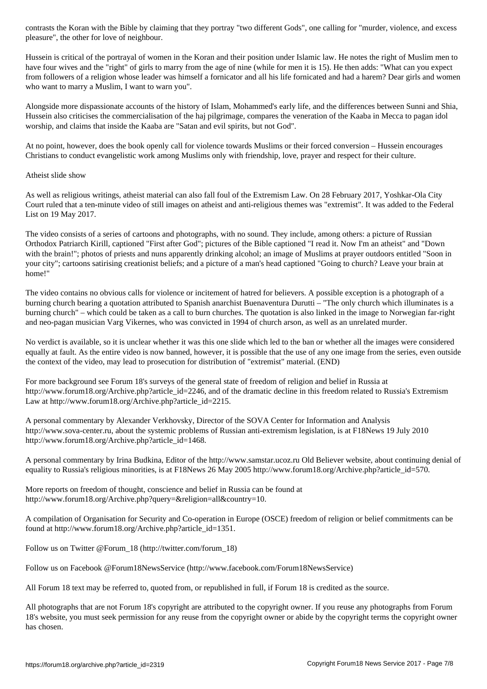pleasure", the other for love of neighbour.

Hussein is critical of the portrayal of women in the Koran and their position under Islamic law. He notes the right of Muslim men to have four wives and the "right" of girls to marry from the age of nine (while for men it is 15). He then adds: "What can you expect from followers of a religion whose leader was himself a fornicator and all his life fornicated and had a harem? Dear girls and women who want to marry a Muslim, I want to warn you".

Alongside more dispassionate accounts of the history of Islam, Mohammed's early life, and the differences between Sunni and Shia, Hussein also criticises the commercialisation of the haj pilgrimage, compares the veneration of the Kaaba in Mecca to pagan idol worship, and claims that inside the Kaaba are "Satan and evil spirits, but not God".

At no point, however, does the book openly call for violence towards Muslims or their forced conversion – Hussein encourages Christians to conduct evangelistic work among Muslims only with friendship, love, prayer and respect for their culture.

# Atheist slide show

As well as religious writings, atheist material can also fall foul of the Extremism Law. On 28 February 2017, Yoshkar-Ola City Court ruled that a ten-minute video of still images on atheist and anti-religious themes was "extremist". It was added to the Federal List on 19 May 2017.

The video consists of a series of cartoons and photographs, with no sound. They include, among others: a picture of Russian Orthodox Patriarch Kirill, captioned "First after God"; pictures of the Bible captioned "I read it. Now I'm an atheist" and "Down with the brain!"; photos of priests and nuns apparently drinking alcohol; an image of Muslims at prayer outdoors entitled "Soon in your city"; cartoons satirising creationist beliefs; and a picture of a man's head captioned "Going to church? Leave your brain at home!"

The video contains no obvious calls for violence or incitement of hatred for believers. A possible exception is a photograph of a burning church bearing a quotation attributed to Spanish anarchist Buenaventura Durutti – "The only church which illuminates is a burning church" – which could be taken as a call to burn churches. The quotation is also linked in the image to Norwegian far-right and neo-pagan musician Varg Vikernes, who was convicted in 1994 of church arson, as well as an unrelated murder.

No verdict is available, so it is unclear whether it was this one slide which led to the ban or whether all the images were considered equally at fault. As the entire video is now banned, however, it is possible that the use of any one image from the series, even outside the context of the video, may lead to prosecution for distribution of "extremist" material. (END)

For more background see Forum 18's surveys of the general state of freedom of religion and belief in Russia at http://www.forum18.org/Archive.php?article\_id=2246, and of the dramatic decline in this freedom related to Russia's Extremism Law at http://www.forum18.org/Archive.php?article\_id=2215.

A personal commentary by Alexander Verkhovsky, Director of the SOVA Center for Information and Analysis http://www.sova-center.ru, about the systemic problems of Russian anti-extremism legislation, is at F18News 19 July 2010 http://www.forum18.org/Archive.php?article\_id=1468.

A personal commentary by Irina Budkina, Editor of the http://www.samstar.ucoz.ru Old Believer website, about continuing denial of equality to Russia's religious minorities, is at F18News 26 May 2005 http://www.forum18.org/Archive.php?article\_id=570.

More reports on freedom of thought, conscience and belief in Russia can be found at http://www.forum18.org/Archive.php?query=&religion=all&country=10.

A compilation of Organisation for Security and Co-operation in Europe (OSCE) freedom of religion or belief commitments can be found at http://www.forum18.org/Archive.php?article\_id=1351.

Follow us on Twitter @Forum\_18 (http://twitter.com/forum\_18)

Follow us on Facebook @Forum18NewsService (http://www.facebook.com/Forum18NewsService)

All Forum 18 text may be referred to, quoted from, or republished in full, if Forum 18 is credited as the source.

All photographs that are not Forum 18's copyright are attributed to the copyright owner. If you reuse any photographs from Forum 18's website, you must seek permission for any reuse from the copyright owner or abide by the copyright terms the copyright owner has chosen.